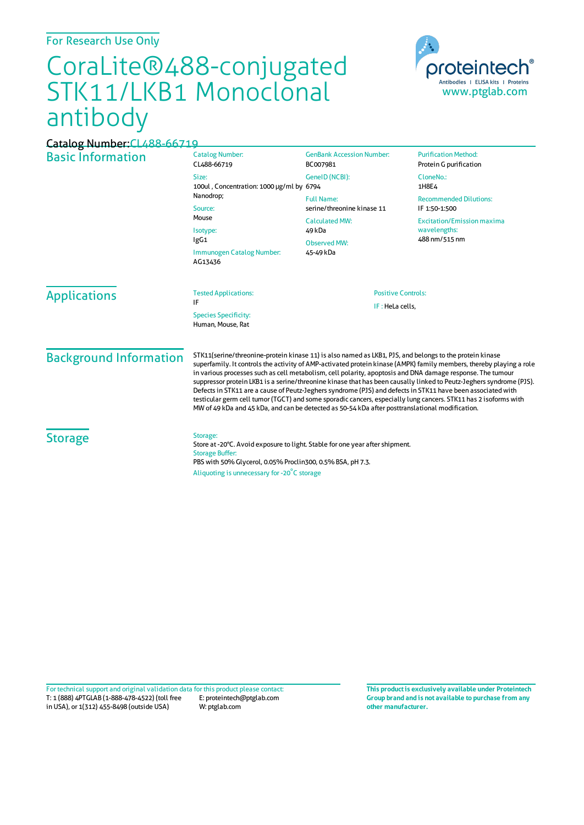## For Research Use Only

## CoraLite®488-conjugated STK11/LKB1 Monoclonal antibody



## Basic Information Catalog Number: CL488-66719 Size: 100ul , Concentration: 1000 μg/ml by 6794 Nanodrop; Source: Mouse Isotype: IgG1 Immunogen Catalog Number: AG13436 GenBank Accession Number: BC007981 GeneID(NCBI): Full Name: serine/threonine kinase 11 CalculatedMW: 49 kDa Observed MW: 45-49 kDa **Purification Method:** Protein G purification CloneNo.: 1H8E4 Recommended Dilutions: IF 1:50-1:500 Excitation/Emission maxima wavelengths: 488 nm/515 nm Applications Tested Applications: IF Species Specificity: Human, Mouse, Rat Positive Controls: IF : HeLa cells, Background Information STK11(serine/threonine-protein kinase 11) is also named as LKB1, PJS, and belongs to the protein kinase superfamily. It controls the activity of AMP-activated protein kinase (AMPK) family members, thereby playing a role in various processes such as cell metabolism, cell polarity, apoptosis and DNA damage response. The tumour suppressor protein LKB1 is a serine/threonine kinase that has been causally linked to Peutz-Jegherssyndrome (PJS). Defects in STK11 are a cause of Peutz-Jeghers syndrome (PJS) and defects in STK11 have been associated with testicular germ cell tumor(TGCT) and some sporadic cancers, especially lung cancers. STK11 has 2 isoforms with MWof 49 kDa and 45 kDa, and can be detected as 50-54 kDa after posttranslational modification. **Storage** Storage: Store at -20°C. Avoid exposure to light. Stable for one year after shipment. Storage Buffer: PBS with 50% Glycerol, 0.05% Proclin300, 0.5% BSA, pH 7.3. Aliquoting is unnecessary for -20<sup>°</sup>C storage Catalog Number:CL488-66719

T: 1 (888) 4PTGLAB (1-888-478-4522) (toll free in USA), or 1(312) 455-8498 (outside USA) E: proteintech@ptglab.com W: ptglab.com Fortechnical support and original validation data forthis product please contact: **This productis exclusively available under Proteintech**

**Group brand and is not available to purchase from any other manufacturer.**